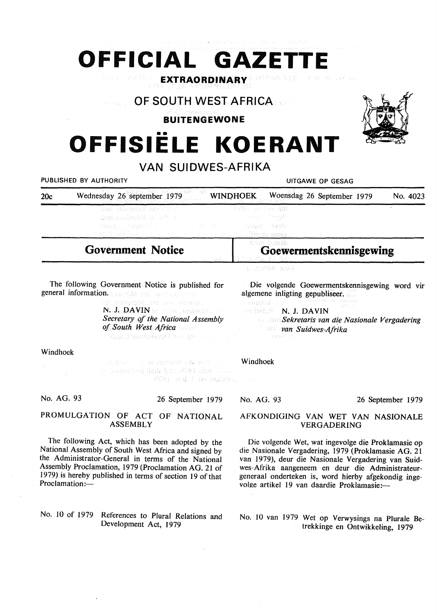# **OFFICIAL GAZETTE**

Class Const **EXTRAORDINARY** 

# **OF SOUTH WEST AFRICA**

## **BUITENGEWONE**

# •• **OFFISIELE KOERANT**



## **VAN SUIDWES-AFRIKA**  PUBLISHED BY AUTHORITY **UITGAWE OP GESAG**

| ------------ |                                                  | <u>UNUAN ULUA</u>                                                                                                      |                                                       |          |
|--------------|--------------------------------------------------|------------------------------------------------------------------------------------------------------------------------|-------------------------------------------------------|----------|
| 20c          | Wednesday 26 september 1979                      | -269 -<br><b>WINDHOEK</b>                                                                                              | Woensdag 26 September 1979                            | No. 4023 |
|              | Los anderes Berno un<br>그리 바로 잘못 알고 있는데 아이가 아니다. | - 3 4 (3 A - 4 A - 3 A - 4 A - 4 A - 4 A - 4<br>金融 网络绿叶菊 法工具的 第二十二十二十二十二十一十一九 计数据<br>the community of the World Street |                                                       |          |
|              | <b>Government Notice</b><br>the contract of the  |                                                                                                                        | Stem bumåb<br>Goewermentskennisgewing<br>그 시 겨묵 그리 그래 |          |
|              |                                                  | -# cong A (act)                                                                                                        |                                                       |          |

The following Government Notice is published for general information. The state of the contraction

astron) ant the Serge N. J. DAVIN **50 Under Busing Charles** *Secretary of the National Assembly of South West Africa*  oppuneamplyed becape

Windhoek

a A braté sa spompoblik mi potra 100 we the 1979 of their shall be down on the FFRI ANA I BO BERTA.

No. AG. 93

26 September 1979

#### **PROMULGATION OF ACT OF NATIONAL ASSEMBLY**

The following Act, which has been adopted by the National Assembly of South West Africa and signed by the Administrator-General in terms of the National Assembly Proclamation, 1979 (Proclamation AG. 21 of 1979) is hereby published in terms of section 19 of that Proclamation:-

#### No. 10 of 1979 References to Plural Relations and Development Act, 1979

Die volgende Goewermentskennisgewing word vir algemene inligting gepubliseer.

 $\sim$  a) in Fig. S. **N. J. DAVIN** 

*Sekretaris van die Nasionaie Vergadering van Suidwes-Afrika* 

#### Windhoek

No. AG. 93

#### 26 September 1979

#### AFKONDIGING VAN WET VAN NASIONALE VERGADERING

Die volgende Wet, wat ingevolge die Proklamasie op die Nasionale Vergadering, 1979 (Proklamasie AG. 21 van 1979), deur die Nasionale Vergadering van Suidwes-Afrika aangeneem en deur die Administrateurgeneraal onderteken is, word hierby afgekondig ingevolge artikel 19 van daardie Proklamasie:-

No. IO van 1979 Wet op Verwysings na Plurale Betrekkinge en Ontwikkeling, 1979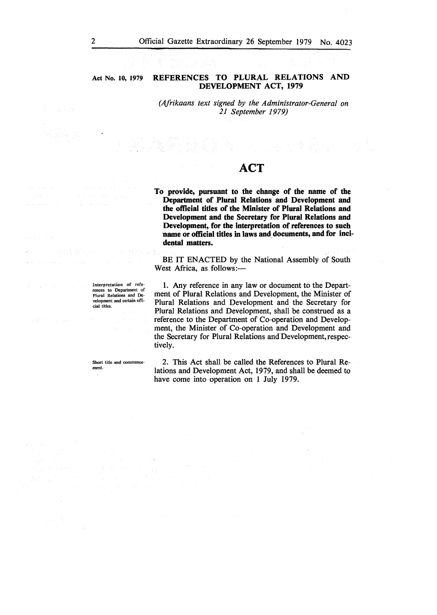**Act No. 10, 1979 REFERENCES TO PLURAL RELATIONS AND DEVELOPMENT ACT, 1979** 

> *(Afrikaans text signed by the Administrator-General on 21 September 1979)*

# **ACT**

**To provide, pursuant to the change of the name of the Department of Plural Relations and Development and the official titles of the Minister of Plural Relations and Development and the Secretary for Plural Relations and Development, for the interpretation of references to such name or official titles** in **laws and\_ documents, and for incidental matters.** 

BE IT ENACTED by the National Assembly of South West Africa, as follows:-

1. Any reference in any law or document to the Department of Plural Relations and Development, the Minister of Plural Relations and Development and the Secretary for Plural Relations and Development, shall be construed as a reference to the Department of Co-operation and Development, the Minister of Co-operation and Development and the Secretary for Plural Relations and Development, respectively.

2. This Act shall be called the References to Plural Relations and Development Act, 1979, and shall be deemed to have come into operation on 1 July 1979.

Interpretation or references to Department of Plural Relations and Development and certain official titles.

Short title and commencement.